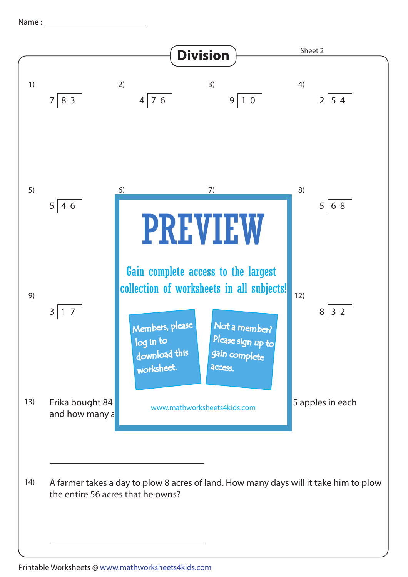